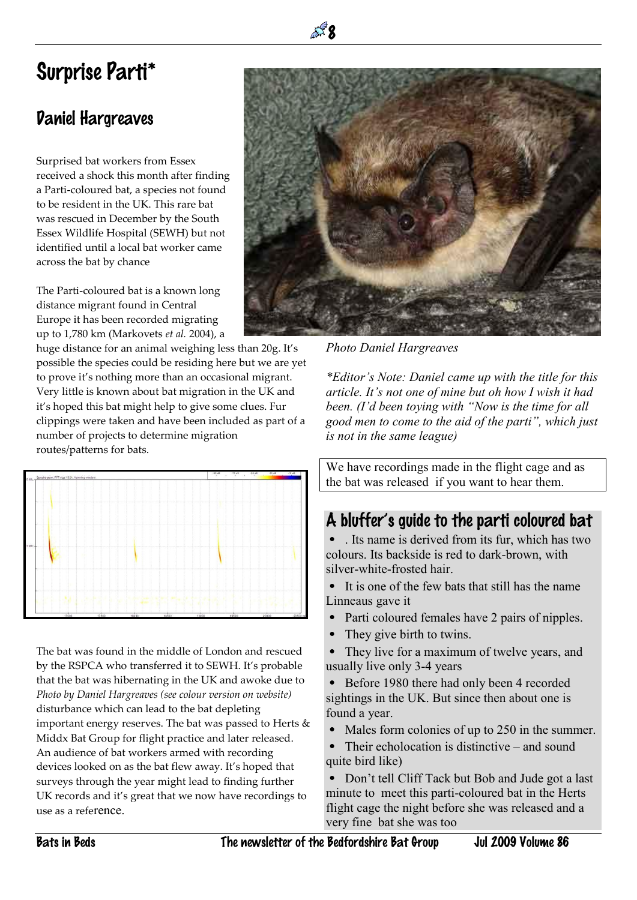## Surprise Parti\*

## Daniel Hargreaves

Surprised bat workers from Essex received a shock this month after finding a Parti-coloured bat, a species not found to be resident in the UK. This rare bat was rescued in December by the South Essex Wildlife Hospital (SEWH) but not identified until a local bat worker came across the bat by chance

The Parti-coloured bat is a known long distance migrant found in Central Europe it has been recorded migrating up to 1,780 km (Markovets *et al.* 2004), a

huge distance for an animal weighing less than 20g. It's possible the species could be residing here but we are yet to prove it's nothing more than an occasional migrant. Very little is known about bat migration in the UK and it's hoped this bat might help to give some clues. Fur clippings were taken and have been included as part of a number of projects to determine migration routes/patterns for bats.

 $\mathbb{R}^3$  8



The bat was found in the middle of London and rescued by the RSPCA who transferred it to SEWH. It's probable that the bat was hibernating in the UK and awoke due to *Photo by Daniel Hargreaves (see colour version on website)* disturbance which can lead to the bat depleting important energy reserves. The bat was passed to Herts  $\&$ Middx Bat Group for flight practice and later released. An audience of bat workers armed with recording devices looked on as the bat flew away. It's hoped that surveys through the year might lead to finding further UK records and it's great that we now have recordings to use as a reference.



*Photo Daniel Hargreaves*

*\*Editor's Note: Daniel came up with the title for this article. It's not one of mine but oh how I wish it had been. (I'd been toying with "Now is the time for all good men to come to the aid of the parti", which just is not in the same league)*

We have recordings made in the flight cage and as the bat was released if you want to hear them.

## A bluffer's guide to the parti coloured bat

• . Its name is derived from its fur, which has two colours. Its backside is red to dark-brown, with silver-white-frosted hair.

• It is one of the few bats that still has the name Linneaus gave it

- Parti coloured females have 2 pairs of nipples.
- They give birth to twins.
- They live for a maximum of twelve years, and usually live only 3-4 years

• Before 1980 there had only been 4 recorded sightings in the UK. But since then about one is found a year.

Males form colonies of up to 250 in the summer.

• Their echolocation is distinctive – and sound quite bird like)

• Don't tell Cliff Tack but Bob and Jude got a last minute to meet this parti-coloured bat in the Herts flight cage the night before she was released and a very fine bat she was too